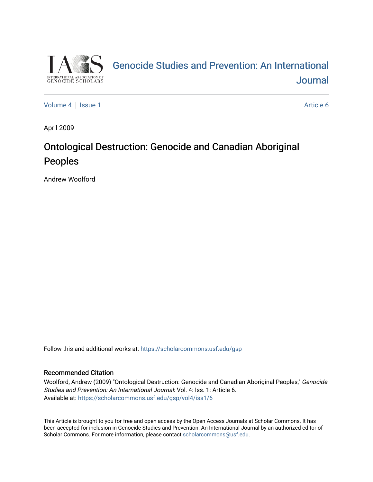

# [Genocide Studies and Prevention: An International](https://scholarcommons.usf.edu/gsp)  **Journal**

[Volume 4](https://scholarcommons.usf.edu/gsp/vol4) | [Issue 1](https://scholarcommons.usf.edu/gsp/vol4/iss1) Article 6

April 2009

# Ontological Destruction: Genocide and Canadian Aboriginal Peoples

Andrew Woolford

Follow this and additional works at: [https://scholarcommons.usf.edu/gsp](https://scholarcommons.usf.edu/gsp?utm_source=scholarcommons.usf.edu%2Fgsp%2Fvol4%2Fiss1%2F6&utm_medium=PDF&utm_campaign=PDFCoverPages)

#### Recommended Citation

Woolford, Andrew (2009) "Ontological Destruction: Genocide and Canadian Aboriginal Peoples," Genocide Studies and Prevention: An International Journal: Vol. 4: Iss. 1: Article 6. Available at: [https://scholarcommons.usf.edu/gsp/vol4/iss1/6](https://scholarcommons.usf.edu/gsp/vol4/iss1/6?utm_source=scholarcommons.usf.edu%2Fgsp%2Fvol4%2Fiss1%2F6&utm_medium=PDF&utm_campaign=PDFCoverPages)

This Article is brought to you for free and open access by the Open Access Journals at Scholar Commons. It has been accepted for inclusion in Genocide Studies and Prevention: An International Journal by an authorized editor of Scholar Commons. For more information, please contact [scholarcommons@usf.edu](mailto:scholarcommons@usf.edu).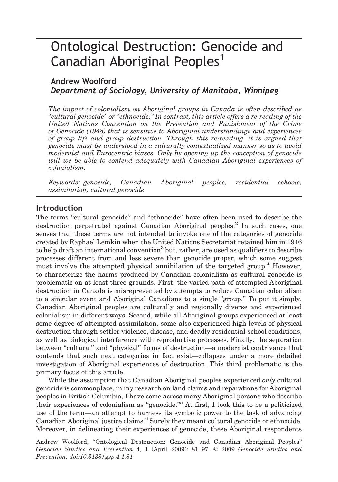# Ontological Destruction: Genocide and Canadian Aboriginal Peoples<sup>[1](#page-13-0)</sup>

## Andrew Woolford Department of Sociology, University of Manitoba, Winnipeg

The impact of colonialism on Aboriginal groups in Canada is often described as ''cultural genocide'' or ''ethnocide.'' In contrast, this article offers a re-reading of the United Nations Convention on the Prevention and Punishment of the Crime of Genocide (1948) that is sensitive to Aboriginal understandings and experiences of group life and group destruction. Through this re-reading, it is argued that genocide must be understood in a culturally contextualized manner so as to avoid modernist and Eurocentric biases. Only by opening up the conception of genocide will we be able to contend adequately with Canadian Aboriginal experiences of colonialism.

Keywords: genocide, Canadian Aboriginal peoples, residential schools, assimilation, cultural genocide

#### Introduction

The terms "cultural genocide" and "ethnocide" have often been used to describe the destruction perpetrated against Canadian Aboriginal peoples.<sup>[2](#page-13-0)</sup> In such cases, one senses that these terms are not intended to invoke one of the categories of genocide created by Raphael Lemkin when the United Nations Secretariat retained him in 1946 to help draft an international convention<sup>[3](#page-13-0)</sup> but, rather, are used as qualifiers to describe processes different from and less severe than genocide proper, which some suggest must involve the attempted physical annihilation of the targeted group.<sup>[4](#page-13-0)</sup> However, to characterize the harms produced by Canadian colonialism as cultural genocide is problematic on at least three grounds. First, the varied path of attempted Aboriginal destruction in Canada is misrepresented by attempts to reduce Canadian colonialism to a singular event and Aboriginal Canadians to a single ''group.'' To put it simply, Canadian Aboriginal peoples are culturally and regionally diverse and experienced colonialism in different ways. Second, while all Aboriginal groups experienced at least some degree of attempted assimilation, some also experienced high levels of physical destruction through settler violence, disease, and deadly residential-school conditions, as well as biological interference with reproductive processes. Finally, the separation between "cultural" and "physical" forms of destruction—a modernist contrivance that contends that such neat categories in fact exist—collapses under a more detailed investigation of Aboriginal experiences of destruction. This third problematic is the primary focus of this article.

While the assumption that Canadian Aboriginal peoples experienced only cultural genocide is commonplace, in my research on land claims and reparations for Aboriginal peoples in British Columbia, I have come across many Aboriginal persons who describe their experiences of colonialism as "genocide."<sup>[5](#page-13-0)</sup> At first, I took this to be a politicized use of the term—an attempt to harness its symbolic power to the task of advancing Canadian Aboriginal justice claims.<sup>[6](#page-13-0)</sup> Surely they meant cultural genocide or ethnocide. Moreover, in delineating their experiences of genocide, these Aboriginal respondents

Andrew Woolford, ''Ontological Destruction: Genocide and Canadian Aboriginal Peoples'' Genocide Studies and Prevention 4, 1 (April 2009): 81–97. © 2009 Genocide Studies and Prevention. doi:10.3138/gsp.4.1.81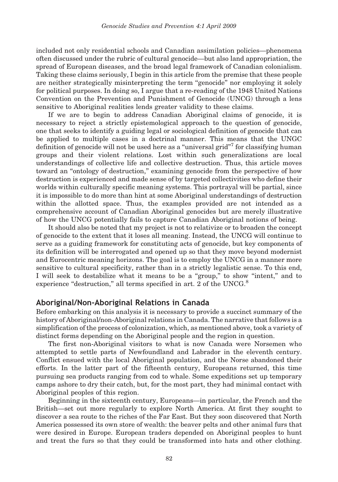included not only residential schools and Canadian assimilation policies—phenomena often discussed under the rubric of cultural genocide—but also land appropriation, the spread of European diseases, and the broad legal framework of Canadian colonialism. Taking these claims seriously, I begin in this article from the premise that these people are neither strategically misinterpreting the term ''genocide'' nor employing it solely for political purposes. In doing so, I argue that a re-reading of the 1948 United Nations Convention on the Prevention and Punishment of Genocide (UNCG) through a lens sensitive to Aboriginal realities lends greater validity to these claims.

If we are to begin to address Canadian Aboriginal claims of genocide, it is necessary to reject a strictly epistemological approach to the question of genocide, one that seeks to identify a guiding legal or sociological definition of genocide that can be applied to multiple cases in a doctrinal manner. This means that the UNGC definition of genocide will not be used here as a "universal grid"<sup>[7](#page-13-0)</sup> for classifying human groups and their violent relations. Lost within such generalizations are local understandings of collective life and collective destruction. Thus, this article moves toward an ''ontology of destruction,'' examining genocide from the perspective of how destruction is experienced and made sense of by targeted collectivities who define their worlds within culturally specific meaning systems. This portrayal will be partial, since it is impossible to do more than hint at some Aboriginal understandings of destruction within the allotted space. Thus, the examples provided are not intended as a comprehensive account of Canadian Aboriginal genocides but are merely illustrative of how the UNCG potentially fails to capture Canadian Aboriginal notions of being.

It should also be noted that my project is not to relativize or to broaden the concept of genocide to the extent that it loses all meaning. Instead, the UNCG will continue to serve as a guiding framework for constituting acts of genocide, but key components of its definition will be interrogated and opened up so that they move beyond modernist and Eurocentric meaning horizons. The goal is to employ the UNCG in a manner more sensitive to cultural specificity, rather than in a strictly legalistic sense. To this end, I will seek to destabilize what it means to be a ''group,'' to show ''intent,'' and to experience "destruction," all terms specified in art. 2 of the UNCG. $8$ 

#### Aboriginal/Non-Aboriginal Relations in Canada

Before embarking on this analysis it is necessary to provide a succinct summary of the history of Aboriginal/non-Aboriginal relations in Canada. The narrative that follows is a simplification of the process of colonization, which, as mentioned above, took a variety of distinct forms depending on the Aboriginal people and the region in question.

The first non-Aboriginal visitors to what is now Canada were Norsemen who attempted to settle parts of Newfoundland and Labrador in the eleventh century. Conflict ensued with the local Aboriginal population, and the Norse abandoned their efforts. In the latter part of the fifteenth century, Europeans returned, this time pursuing sea products ranging from cod to whale. Some expeditions set up temporary camps ashore to dry their catch, but, for the most part, they had minimal contact with Aboriginal peoples of this region.

Beginning in the sixteenth century, Europeans—in particular, the French and the British—set out more regularly to explore North America. At first they sought to discover a sea route to the riches of the Far East. But they soon discovered that North America possessed its own store of wealth: the beaver pelts and other animal furs that were desired in Europe. European traders depended on Aboriginal peoples to hunt and treat the furs so that they could be transformed into hats and other clothing.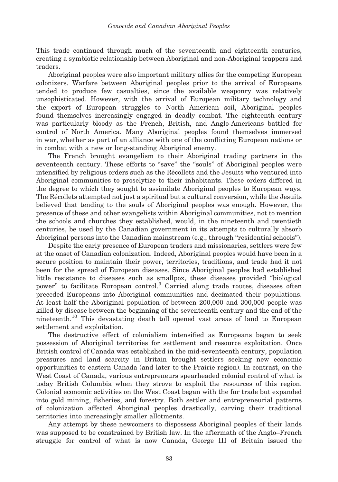This trade continued through much of the seventeenth and eighteenth centuries, creating a symbiotic relationship between Aboriginal and non-Aboriginal trappers and traders.

Aboriginal peoples were also important military allies for the competing European colonizers. Warfare between Aboriginal peoples prior to the arrival of Europeans tended to produce few casualties, since the available weaponry was relatively unsophisticated. However, with the arrival of European military technology and the export of European struggles to North American soil, Aboriginal peoples found themselves increasingly engaged in deadly combat. The eighteenth century was particularly bloody as the French, British, and Anglo-Americans battled for control of North America. Many Aboriginal peoples found themselves immersed in war, whether as part of an alliance with one of the conflicting European nations or in combat with a new or long-standing Aboriginal enemy.

The French brought evangelism to their Aboriginal trading partners in the seventeenth century. These efforts to "save" the "souls" of Aboriginal peoples were intensified by religious orders such as the Récollets and the Jesuits who ventured into Aboriginal communities to proselytize to their inhabitants. These orders differed in the degree to which they sought to assimilate Aboriginal peoples to European ways. The Récollets attempted not just a spiritual but a cultural conversion, while the Jesuits believed that tending to the souls of Aboriginal peoples was enough. However, the presence of these and other evangelists within Aboriginal communities, not to mention the schools and churches they established, would, in the nineteenth and twentieth centuries, be used by the Canadian government in its attempts to culturally absorb Aboriginal persons into the Canadian mainstream (e.g., through "residential schools").

Despite the early presence of European traders and missionaries, settlers were few at the onset of Canadian colonization. Indeed, Aboriginal peoples would have been in a secure position to maintain their power, territories, traditions, and trade had it not been for the spread of European diseases. Since Aboriginal peoples had established little resistance to diseases such as smallpox, these diseases provided ''biological power" to facilitate European control.<sup>[9](#page-14-0)</sup> Carried along trade routes, diseases often preceded Europeans into Aboriginal communities and decimated their populations. At least half the Aboriginal population of between 200,000 and 300,000 people was killed by disease between the beginning of the seventeenth century and the end of the nineteenth.<sup>[10](#page-14-0)</sup> This devastating death toll opened vast areas of land to European settlement and exploitation.

The destructive effect of colonialism intensified as Europeans began to seek possession of Aboriginal territories for settlement and resource exploitation. Once British control of Canada was established in the mid-seventeenth century, population pressures and land scarcity in Britain brought settlers seeking new economic opportunities to eastern Canada (and later to the Prairie region). In contrast, on the West Coast of Canada, various entrepreneurs spearheaded colonial control of what is today British Columbia when they strove to exploit the resources of this region. Colonial economic activities on the West Coast began with the fur trade but expanded into gold mining, fisheries, and forestry. Both settler and entrepreneurial patterns of colonization affected Aboriginal peoples drastically, carving their traditional territories into increasingly smaller allotments.

Any attempt by these newcomers to dispossess Aboriginal peoples of their lands was supposed to be constrained by British law. In the aftermath of the Anglo–French struggle for control of what is now Canada, George III of Britain issued the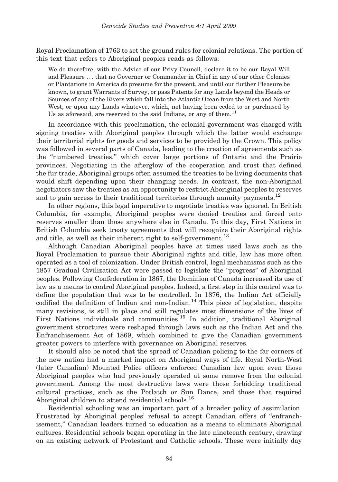Royal Proclamation of 1763 to set the ground rules for colonial relations. The portion of this text that refers to Aboriginal peoples reads as follows:

We do therefore, with the Advice of our Privy Council, declare it to be our Royal Will and Pleasure ... that no Governor or Commander in Chief in any of our other Colonies or Plantations in America do presume for the present, and until our further Pleasure be known, to grant Warrants of Survey, or pass Patents for any Lands beyond the Heads or Sources of any of the Rivers which fall into the Atlantic Ocean from the West and North West, or upon any Lands whatever, which, not having been ceded to or purchased by Us as aforesaid, are reserved to the said Indians, or any of them. $<sup>11</sup>$  $<sup>11</sup>$  $<sup>11</sup>$ </sup>

In accordance with this proclamation, the colonial government was charged with signing treaties with Aboriginal peoples through which the latter would exchange their territorial rights for goods and services to be provided by the Crown. This policy was followed in several parts of Canada, leading to the creation of agreements such as the ''numbered treaties,'' which cover large portions of Ontario and the Prairie provinces. Negotiating in the afterglow of the cooperation and trust that defined the fur trade, Aboriginal groups often assumed the treaties to be living documents that would shift depending upon their changing needs. In contrast, the non-Aboriginal negotiators saw the treaties as an opportunity to restrict Aboriginal peoples to reserves and to gain access to their traditional territories through annuity payments.<sup>[12](#page-14-0)</sup>

In other regions, this legal imperative to negotiate treaties was ignored. In British Columbia, for example, Aboriginal peoples were denied treaties and forced onto reserves smaller than those anywhere else in Canada. To this day, First Nations in British Columbia seek treaty agreements that will recognize their Aboriginal rights and title, as well as their inherent right to self-government.<sup>[13](#page-14-0)</sup>

Although Canadian Aboriginal peoples have at times used laws such as the Royal Proclamation to pursue their Aboriginal rights and title, law has more often operated as a tool of colonization. Under British control, legal mechanisms such as the 1857 Gradual Civilization Act were passed to legislate the ''progress'' of Aboriginal peoples. Following Confederation in 1867, the Dominion of Canada increased its use of law as a means to control Aboriginal peoples. Indeed, a first step in this control was to define the population that was to be controlled. In 1876, the Indian Act officially codified the definition of Indian and non-Indian.<sup>[14](#page-14-0)</sup> This piece of legislation, despite many revisions, is still in place and still regulates most dimensions of the lives of First Nations individuals and communities.<sup>[15](#page-14-0)</sup> In addition, traditional Aboriginal government structures were reshaped through laws such as the Indian Act and the Enfranchisement Act of 1869, which combined to give the Canadian government greater powers to interfere with governance on Aboriginal reserves.

It should also be noted that the spread of Canadian policing to the far corners of the new nation had a marked impact on Aboriginal ways of life. Royal North-West (later Canadian) Mounted Police officers enforced Canadian law upon even those Aboriginal peoples who had previously operated at some remove from the colonial government. Among the most destructive laws were those forbidding traditional cultural practices, such as the Potlatch or Sun Dance, and those that required Aboriginal children to attend residential schools.<sup>[16](#page-14-0)</sup>

Residential schooling was an important part of a broader policy of assimilation. Frustrated by Aboriginal peoples' refusal to accept Canadian offers of ''enfranchisement,'' Canadian leaders turned to education as a means to eliminate Aboriginal cultures. Residential schools began operating in the late nineteenth century, drawing on an existing network of Protestant and Catholic schools. These were initially day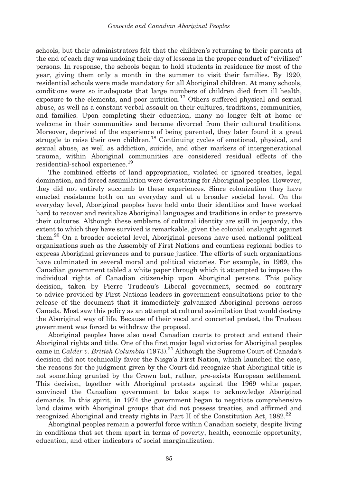schools, but their administrators felt that the children's returning to their parents at the end of each day was undoing their day of lessons in the proper conduct of ''civilized'' persons. In response, the schools began to hold students in residence for most of the year, giving them only a month in the summer to visit their families. By 1920, residential schools were made mandatory for all Aboriginal children. At many schools, conditions were so inadequate that large numbers of children died from ill health, exposure to the elements, and poor nutrition.<sup>[17](#page-14-0)</sup> Others suffered physical and sexual abuse, as well as a constant verbal assault on their cultures, traditions, communities, and families. Upon completing their education, many no longer felt at home or welcome in their communities and became divorced from their cultural traditions. Moreover, deprived of the experience of being parented, they later found it a great struggle to raise their own children.<sup>[18](#page-14-0)</sup> Continuing cycles of emotional, physical, and sexual abuse, as well as addiction, suicide, and other markers of intergenerational trauma, within Aboriginal communities are considered residual effects of the residential-school experience.<sup>[19](#page-14-0)</sup>

The combined effects of land appropriation, violated or ignored treaties, legal domination, and forced assimilation were devastating for Aboriginal peoples. However, they did not entirely succumb to these experiences. Since colonization they have enacted resistance both on an everyday and at a broader societal level. On the everyday level, Aboriginal peoples have held onto their identities and have worked hard to recover and revitalize Aboriginal languages and traditions in order to preserve their cultures. Although these emblems of cultural identity are still in jeopardy, the extent to which they have survived is remarkable, given the colonial onslaught against them.<sup>[20](#page-14-0)</sup> On a broader societal level, Aboriginal persons have used national political organizations such as the Assembly of First Nations and countless regional bodies to express Aboriginal grievances and to pursue justice. The efforts of such organizations have culminated in several moral and political victories. For example, in 1969, the Canadian government tabled a white paper through which it attempted to impose the individual rights of Canadian citizenship upon Aboriginal persons. This policy decision, taken by Pierre Trudeau's Liberal government, seemed so contrary to advice provided by First Nations leaders in government consultations prior to the release of the document that it immediately galvanized Aboriginal persons across Canada. Most saw this policy as an attempt at cultural assimilation that would destroy the Aboriginal way of life. Because of their vocal and concerted protest, the Trudeau government was forced to withdraw the proposal.

Aboriginal peoples have also used Canadian courts to protect and extend their Aboriginal rights and title. One of the first major legal victories for Aboriginal peoples came in *Calder v. British Columbia* (1973).<sup>21</sup> Although the Supreme Court of Canada's decision did not technically favor the Nisga'a First Nation, which launched the case, the reasons for the judgment given by the Court did recognize that Aboriginal title is not something granted by the Crown but, rather, pre-exists European settlement. This decision, together with Aboriginal protests against the 1969 white paper, convinced the Canadian government to take steps to acknowledge Aboriginal demands. In this spirit, in 1974 the government began to negotiate comprehensive land claims with Aboriginal groups that did not possess treaties, and affirmed and recognized Aboriginal and treaty rights in Part II of the Constitution Act,  $1982<sup>22</sup>$  $1982<sup>22</sup>$  $1982<sup>22</sup>$ 

Aboriginal peoples remain a powerful force within Canadian society, despite living in conditions that set them apart in terms of poverty, health, economic opportunity, education, and other indicators of social marginalization.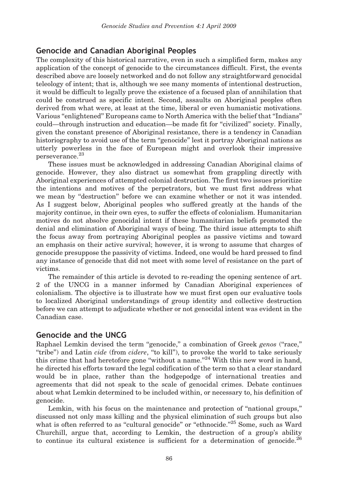#### Genocide and Canadian Aboriginal Peoples

The complexity of this historical narrative, even in such a simplified form, makes any application of the concept of genocide to the circumstances difficult. First, the events described above are loosely networked and do not follow any straightforward genocidal teleology of intent; that is, although we see many moments of intentional destruction, it would be difficult to legally prove the existence of a focused plan of annihilation that could be construed as specific intent. Second, assaults on Aboriginal peoples often derived from what were, at least at the time, liberal or even humanistic motivations. Various ''enlightened'' Europeans came to North America with the belief that ''Indians'' could—through instruction and education—be made fit for ''civilized'' society. Finally, given the constant presence of Aboriginal resistance, there is a tendency in Canadian historiography to avoid use of the term ''genocide'' lest it portray Aboriginal nations as utterly powerless in the face of European might and overlook their impressive perseverance.<sup>[23](#page-14-0)</sup>

These issues must be acknowledged in addressing Canadian Aboriginal claims of genocide. However, they also distract us somewhat from grappling directly with Aboriginal experiences of attempted colonial destruction. The first two issues prioritize the intentions and motives of the perpetrators, but we must first address what we mean by ''destruction'' before we can examine whether or not it was intended. As I suggest below, Aboriginal peoples who suffered greatly at the hands of the majority continue, in their own eyes, to suffer the effects of colonialism. Humanitarian motives do not absolve genocidal intent if these humanitarian beliefs promoted the denial and elimination of Aboriginal ways of being. The third issue attempts to shift the focus away from portraying Aboriginal peoples as passive victims and toward an emphasis on their active survival; however, it is wrong to assume that charges of genocide presuppose the passivity of victims. Indeed, one would be hard pressed to find any instance of genocide that did not meet with some level of resistance on the part of victims.

The remainder of this article is devoted to re-reading the opening sentence of art. 2 of the UNCG in a manner informed by Canadian Aboriginal experiences of colonialism. The objective is to illustrate how we must first open our evaluative tools to localized Aboriginal understandings of group identity and collective destruction before we can attempt to adjudicate whether or not genocidal intent was evident in the Canadian case.

#### Genocide and the UNCG

Raphael Lemkin devised the term "genocide," a combination of Greek genos ("race," "tribe") and Latin cide (from cidere, "to kill"), to provoke the world to take seriously this crime that had heretofore gone "without a name."<sup>[24](#page-14-0)</sup> With this new word in hand, he directed his efforts toward the legal codification of the term so that a clear standard would be in place, rather than the hodgepodge of international treaties and agreements that did not speak to the scale of genocidal crimes. Debate continues about what Lemkin determined to be included within, or necessary to, his definition of genocide.

Lemkin, with his focus on the maintenance and protection of ''national groups,'' discussed not only mass killing and the physical elimination of such groups but also what is often referred to as "cultural genocide" or "ethnocide."<sup>[25](#page-14-0)</sup> Some, such as Ward Churchill, argue that, according to Lemkin, the destruction of a group's ability to continue its cultural existence is sufficient for a determination of genocide.<sup>[26](#page-15-0)</sup>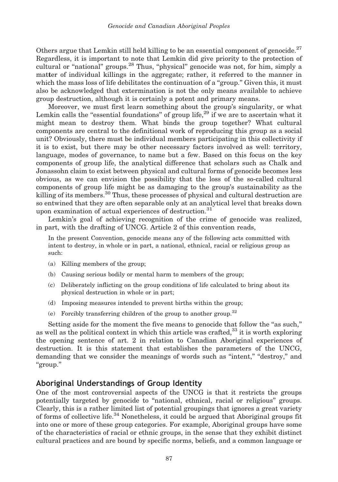Others argue that Lemkin still held killing to be an essential component of genocide.<sup>[27](#page-15-0)</sup> Regardless, it is important to note that Lemkin did give priority to the protection of cultural or "national" groups.<sup>[28](#page-15-0)</sup> Thus, "physical" genocide was not, for him, simply a matter of individual killings in the aggregate; rather, it referred to the manner in which the mass loss of life debilitates the continuation of a "group." Given this, it must also be acknowledged that extermination is not the only means available to achieve group destruction, although it is certainly a potent and primary means.

Moreover, we must first learn something about the group's singularity, or what Lemkin calls the "essential foundations" of group life,<sup>[29](#page-15-0)</sup> if we are to ascertain what it might mean to destroy them. What binds the group together? What cultural components are central to the definitional work of reproducing this group as a social unit? Obviously, there must be individual members participating in this collectivity if it is to exist, but there may be other necessary factors involved as well: territory, language, modes of governance, to name but a few. Based on this focus on the key components of group life, the analytical difference that scholars such as Chalk and Jonassohn claim to exist between physical and cultural forms of genocide becomes less obvious, as we can envision the possibility that the loss of the so-called cultural components of group life might be as damaging to the group's sustainability as the killing of its members.<sup>[30](#page-15-0)</sup> Thus, these processes of physical and cultural destruction are so entwined that they are often separable only at an analytical level that breaks down upon examination of actual experiences of destruction.<sup>[31](#page-15-0)</sup>

Lemkin's goal of achieving recognition of the crime of genocide was realized, in part, with the drafting of UNCG. Article 2 of this convention reads,

In the present Convention, genocide means any of the following acts committed with intent to destroy, in whole or in part, a national, ethnical, racial or religious group as such:

- (a) Killing members of the group;
- (b) Causing serious bodily or mental harm to members of the group;
- (c) Deliberately inflicting on the group conditions of life calculated to bring about its physical destruction in whole or in part;
- (d) Imposing measures intended to prevent births within the group;
- (e) Forcibly transferring children of the group to another group.<sup>[32](#page-15-0)</sup>

Setting aside for the moment the five means to genocide that follow the "as such," as well as the political context in which this article was crafted,  $33$  it is worth exploring the opening sentence of art. 2 in relation to Canadian Aboriginal experiences of destruction. It is this statement that establishes the parameters of the UNCG, demanding that we consider the meanings of words such as "intent," "destroy," and ''group.''

#### Aboriginal Understandings of Group Identity

One of the most controversial aspects of the UNCG is that it restricts the groups potentially targeted by genocide to ''national, ethnical, racial or religious'' groups. Clearly, this is a rather limited list of potential groupings that ignores a great variety of forms of collective life.[34](#page-15-0) Nonetheless, it could be argued that Aboriginal groups fit into one or more of these group categories. For example, Aboriginal groups have some of the characteristics of racial or ethnic groups, in the sense that they exhibit distinct cultural practices and are bound by specific norms, beliefs, and a common language or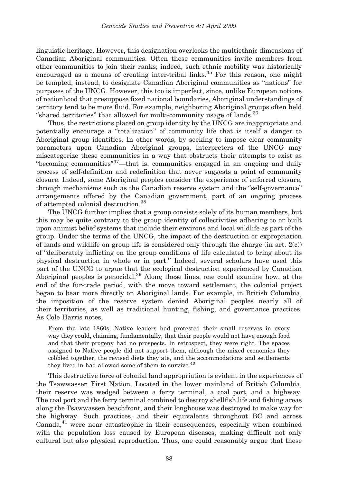linguistic heritage. However, this designation overlooks the multiethnic dimensions of Canadian Aboriginal communities. Often these communities invite members from other communities to join their ranks; indeed, such ethnic mobility was historically encouraged as a means of creating inter-tribal links.<sup>[35](#page-15-0)</sup> For this reason, one might be tempted, instead, to designate Canadian Aboriginal communities as ''nations'' for purposes of the UNCG. However, this too is imperfect, since, unlike European notions of nationhood that presuppose fixed national boundaries, Aboriginal understandings of territory tend to be more fluid. For example, neighboring Aboriginal groups often held "shared territories" that allowed for multi-community usage of lands.<sup>[36](#page-15-0)</sup>

Thus, the restrictions placed on group identity by the UNCG are inappropriate and potentially encourage a ''totalization'' of community life that is itself a danger to Aboriginal group identities. In other words, by seeking to impose clear community parameters upon Canadian Aboriginal groups, interpreters of the UNCG may miscategorize these communities in a way that obstructs their attempts to exist as "becoming communities"<sup>37</sup>—that is, communities engaged in an ongoing and daily process of self-definition and redefinition that never suggests a point of community closure. Indeed, some Aboriginal peoples consider the experience of enforced closure, through mechanisms such as the Canadian reserve system and the ''self-governance'' arrangements offered by the Canadian government, part of an ongoing process of attempted colonial destruction.[38](#page-15-0)

The UNCG further implies that a group consists solely of its human members, but this may be quite contrary to the group identity of collectivities adhering to or built upon animist belief systems that include their environs and local wildlife as part of the group. Under the terms of the UNCG, the impact of the destruction or expropriation of lands and wildlife on group life is considered only through the charge (in art.  $2(c)$ ) of ''deliberately inflicting on the group conditions of life calculated to bring about its physical destruction in whole or in part.'' Indeed, several scholars have used this part of the UNCG to argue that the ecological destruction experienced by Canadian Aboriginal peoples is genocidal.<sup>[39](#page-15-0)</sup> Along these lines, one could examine how, at the end of the fur-trade period, with the move toward settlement, the colonial project began to bear more directly on Aboriginal lands. For example, in British Columbia, the imposition of the reserve system denied Aboriginal peoples nearly all of their territories, as well as traditional hunting, fishing, and governance practices. As Cole Harris notes,

From the late 1860s, Native leaders had protested their small reserves in every way they could, claiming, fundamentally, that their people would not have enough food and that their progeny had no prospects. In retrospect, they were right. The spaces assigned to Native people did not support them, although the mixed economies they cobbled together, the revised diets they ate, and the accommodations and settlements they lived in had allowed some of them to survive.<sup>[40](#page-15-0)</sup>

This destructive force of colonial land appropriation is evident in the experiences of the Tsawwassen First Nation. Located in the lower mainland of British Columbia, their reserve was wedged between a ferry terminal, a coal port, and a highway. The coal port and the ferry terminal combined to destroy shellfish life and fishing areas along the Tsawwassen beachfront, and their longhouse was destroyed to make way for the highway. Such practices, and their equivalents throughout BC and across Canada, $41$  were near catastrophic in their consequences, especially when combined with the population loss caused by European diseases, making difficult not only cultural but also physical reproduction. Thus, one could reasonably argue that these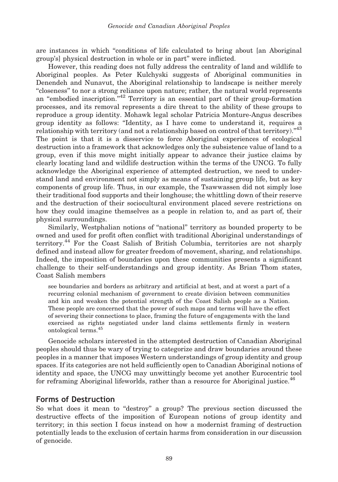are instances in which ''conditions of life calculated to bring about [an Aboriginal group's] physical destruction in whole or in part'' were inflicted.

However, this reading does not fully address the centrality of land and wildlife to Aboriginal peoples. As Peter Kulchyski suggests of Aboriginal communities in Denendeh and Nunavut, the Aboriginal relationship to landscape is neither merely ''closeness'' to nor a strong reliance upon nature; rather, the natural world represents an "embodied inscription."<sup>[42](#page-15-0)</sup> Territory is an essential part of their group-formation processes, and its removal represents a dire threat to the ability of these groups to reproduce a group identity. Mohawk legal scholar Patricia Monture-Angus describes group identity as follows: ''Identity, as I have come to understand it, requires a relationship with territory (and not a relationship based on control of that territory)."<sup>[43](#page-16-0)</sup> The point is that it is a disservice to force Aboriginal experiences of ecological destruction into a framework that acknowledges only the subsistence value of land to a group, even if this move might initially appear to advance their justice claims by clearly locating land and wildlife destruction within the terms of the UNCG. To fully acknowledge the Aboriginal experience of attempted destruction, we need to understand land and environment not simply as means of sustaining group life, but as key components of group life. Thus, in our example, the Tsawwassen did not simply lose their traditional food supports and their longhouse; the whittling down of their reserve and the destruction of their sociocultural environment placed severe restrictions on how they could imagine themselves as a people in relation to, and as part of, their physical surroundings.

Similarly, Westphalian notions of ''national'' territory as bounded property to be owned and used for profit often conflict with traditional Aboriginal understandings of territory.<sup>[44](#page-16-0)</sup> For the Coast Salish of British Columbia, territories are not sharply defined and instead allow for greater freedom of movement, sharing, and relationships. Indeed, the imposition of boundaries upon these communities presents a significant challenge to their self-understandings and group identity. As Brian Thom states, Coast Salish members

see boundaries and borders as arbitrary and artificial at best, and at worst a part of a recurring colonial mechanism of government to create division between communities and kin and weaken the potential strength of the Coast Salish people as a Nation. These people are concerned that the power of such maps and terms will have the effect of severing their connections to place, framing the future of engagements with the land exercised as rights negotiated under land claims settlements firmly in western ontological terms.[45](#page-16-0)

Genocide scholars interested in the attempted destruction of Canadian Aboriginal peoples should thus be wary of trying to categorize and draw boundaries around these peoples in a manner that imposes Western understandings of group identity and group spaces. If its categories are not held sufficiently open to Canadian Aboriginal notions of identity and space, the UNCG may unwittingly become yet another Eurocentric tool for reframing Aboriginal lifeworlds, rather than a resource for Aboriginal justice.<sup>[46](#page-16-0)</sup>

#### Forms of Destruction

So what does it mean to ''destroy'' a group? The previous section discussed the destructive effects of the imposition of European notions of group identity and territory; in this section I focus instead on how a modernist framing of destruction potentially leads to the exclusion of certain harms from consideration in our discussion of genocide.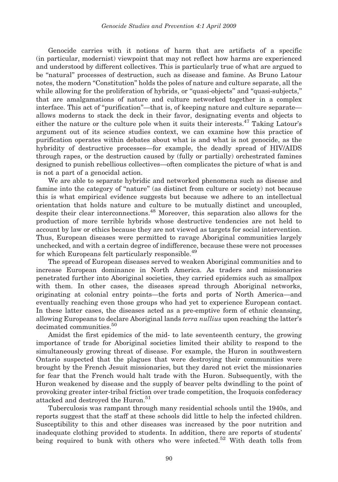Genocide carries with it notions of harm that are artifacts of a specific (in particular, modernist) viewpoint that may not reflect how harms are experienced and understood by different collectives. This is particularly true of what are argued to be ''natural'' processes of destruction, such as disease and famine. As Bruno Latour notes, the modern "Constitution" holds the poles of nature and culture separate, all the while allowing for the proliferation of hybrids, or "quasi-objects" and "quasi-subjects," that are amalgamations of nature and culture networked together in a complex interface. This act of ''purification''—that is, of keeping nature and culture separate allows moderns to stack the deck in their favor, designating events and objects to either the nature or the culture pole when it suits their interests.<sup>[47](#page-16-0)</sup> Taking Latour's argument out of its science studies context, we can examine how this practice of purification operates within debates about what is and what is not genocide, as the hybridity of destructive processes—for example, the deadly spread of HIV/AIDS through rapes, or the destruction caused by (fully or partially) orchestrated famines designed to punish rebellious collectives—often complicates the picture of what is and is not a part of a genocidal action.

We are able to separate hybridic and networked phenomena such as disease and famine into the category of "nature" (as distinct from culture or society) not because this is what empirical evidence suggests but because we adhere to an intellectual orientation that holds nature and culture to be mutually distinct and uncoupled, despite their clear interconnections.<sup>[48](#page-16-0)</sup> Moreover, this separation also allows for the production of more terrible hybrids whose destructive tendencies are not held to account by law or ethics because they are not viewed as targets for social intervention. Thus, European diseases were permitted to ravage Aboriginal communities largely unchecked, and with a certain degree of indifference, because these were not processes for which Europeans felt particularly responsible.<sup>[49](#page-16-0)</sup>

The spread of European diseases served to weaken Aboriginal communities and to increase European dominance in North America. As traders and missionaries penetrated further into Aboriginal societies, they carried epidemics such as smallpox with them. In other cases, the diseases spread through Aboriginal networks, originating at colonial entry points—the forts and ports of North America—and eventually reaching even those groups who had yet to experience European contact. In these latter cases, the diseases acted as a pre-emptive form of ethnic cleansing, allowing Europeans to declare Aboriginal lands *terra nullius* upon reaching the latter's decimated communities.<sup>[50](#page-16-0)</sup>

Amidst the first epidemics of the mid- to late seventeenth century, the growing importance of trade for Aboriginal societies limited their ability to respond to the simultaneously growing threat of disease. For example, the Huron in southwestern Ontario suspected that the plagues that were destroying their communities were brought by the French Jesuit missionaries, but they dared not evict the missionaries for fear that the French would halt trade with the Huron. Subsequently, with the Huron weakened by disease and the supply of beaver pelts dwindling to the point of provoking greater inter-tribal friction over trade competition, the Iroquois confederacy attacked and destroyed the Huron.<sup>[51](#page-16-0)</sup>

Tuberculosis was rampant through many residential schools until the 1940s, and reports suggest that the staff at these schools did little to help the infected children. Susceptibility to this and other diseases was increased by the poor nutrition and inadequate clothing provided to students. In addition, there are reports of students' being required to bunk with others who were infected.<sup>[52](#page-16-0)</sup> With death tolls from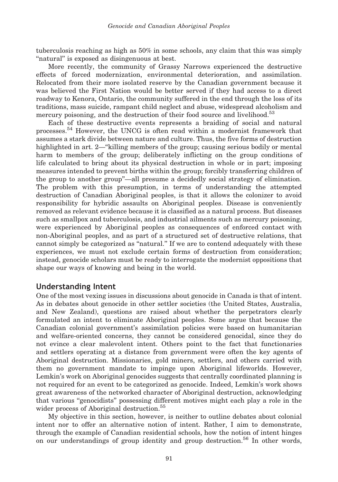tuberculosis reaching as high as 50% in some schools, any claim that this was simply "natural" is exposed as disingenuous at best.

More recently, the community of Grassy Narrows experienced the destructive effects of forced modernization, environmental deterioration, and assimilation. Relocated from their more isolated reserve by the Canadian government because it was believed the First Nation would be better served if they had access to a direct roadway to Kenora, Ontario, the community suffered in the end through the loss of its traditions, mass suicide, rampant child neglect and abuse, widespread alcoholism and mercury poisoning, and the destruction of their food source and livelihood.<sup>[53](#page-16-0)</sup>

Each of these destructive events represents a braiding of social and natural processes.[54](#page-16-0) However, the UNCG is often read within a modernist framework that assumes a stark divide between nature and culture. Thus, the five forms of destruction highlighted in art. 2—"killing members of the group; causing serious bodily or mental harm to members of the group; deliberately inflicting on the group conditions of life calculated to bring about its physical destruction in whole or in part; imposing measures intended to prevent births within the group; forcibly transferring children of the group to another group''—all presume a decidedly social strategy of elimination. The problem with this presumption, in terms of understanding the attempted destruction of Canadian Aboriginal peoples, is that it allows the colonizer to avoid responsibility for hybridic assaults on Aboriginal peoples. Disease is conveniently removed as relevant evidence because it is classified as a natural process. But diseases such as smallpox and tuberculosis, and industrial ailments such as mercury poisoning, were experienced by Aboriginal peoples as consequences of enforced contact with non-Aboriginal peoples, and as part of a structured set of destructive relations, that cannot simply be categorized as ''natural.'' If we are to contend adequately with these experiences, we must not exclude certain forms of destruction from consideration; instead, genocide scholars must be ready to interrogate the modernist oppositions that shape our ways of knowing and being in the world.

#### Understanding Intent

One of the most vexing issues in discussions about genocide in Canada is that of intent. As in debates about genocide in other settler societies (the United States, Australia, and New Zealand), questions are raised about whether the perpetrators clearly formulated an intent to eliminate Aboriginal peoples. Some argue that because the Canadian colonial government's assimilation policies were based on humanitarian and welfare-oriented concerns, they cannot be considered genocidal, since they do not evince a clear malevolent intent. Others point to the fact that functionaries and settlers operating at a distance from government were often the key agents of Aboriginal destruction. Missionaries, gold miners, settlers, and others carried with them no government mandate to impinge upon Aboriginal lifeworlds. However, Lemkin's work on Aboriginal genocides suggests that centrally coordinated planning is not required for an event to be categorized as genocide. Indeed, Lemkin's work shows great awareness of the networked character of Aboriginal destruction, acknowledging that various ''genocidists'' possessing different motives might each play a role in the wider process of Aboriginal destruction.<sup>[55](#page-16-0)</sup>

My objective in this section, however, is neither to outline debates about colonial intent nor to offer an alternative notion of intent. Rather, I aim to demonstrate, through the example of Canadian residential schools, how the notion of intent hinges on our understandings of group identity and group destruction.<sup>[56](#page-16-0)</sup> In other words,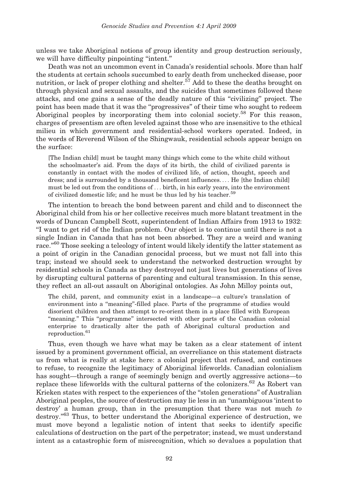unless we take Aboriginal notions of group identity and group destruction seriously, we will have difficulty pinpointing ''intent.''

Death was not an uncommon event in Canada's residential schools. More than half the students at certain schools succumbed to early death from unchecked disease, poor nutrition, or lack of proper clothing and shelter.<sup>[57](#page-16-0)</sup> Add to these the deaths brought on through physical and sexual assaults, and the suicides that sometimes followed these attacks, and one gains a sense of the deadly nature of this ''civilizing'' project. The point has been made that it was the ''progressives'' of their time who sought to redeem Aboriginal peoples by incorporating them into colonial society.<sup>[58](#page-16-0)</sup> For this reason, charges of presentism are often leveled against those who are insensitive to the ethical milieu in which government and residential-school workers operated. Indeed, in the words of Reverend Wilson of the Shingwauk, residential schools appear benign on the surface:

[The Indian child] must be taught many things which come to the white child without the schoolmaster's aid. From the days of its birth, the child of civilized parents is constantly in contact with the modes of civilized life, of action, thought, speech and dress; and is surrounded by a thousand beneficent influences. ... He [the Indian child] must be led out from the conditions of ... birth, in his early years, into the environment of civilized domestic life; and he must be thus led by his teacher.<sup>[59](#page-16-0)</sup>

The intention to breach the bond between parent and child and to disconnect the Aboriginal child from his or her collective receives much more blatant treatment in the words of Duncan Campbell Scott, superintendent of Indian Affairs from 1913 to 1932: ''I want to get rid of the Indian problem. Our object is to continue until there is not a single Indian in Canada that has not been absorbed. They are a weird and waning race."<sup>[60](#page-16-0)</sup> Those seeking a teleology of intent would likely identify the latter statement as a point of origin in the Canadian genocidal process, but we must not fall into this trap; instead we should seek to understand the networked destruction wrought by residential schools in Canada as they destroyed not just lives but generations of lives by disrupting cultural patterns of parenting and cultural transmission. In this sense, they reflect an all-out assault on Aboriginal ontologies. As John Milloy points out,

The child, parent, and community exist in a landscape—a culture's translation of environment into a ''meaning''-filled place. Parts of the programme of studies would disorient children and then attempt to re-orient them in a place filled with European ''meaning.'' This ''programme'' intersected with other parts of the Canadian colonial enterprise to drastically alter the path of Aboriginal cultural production and reproduction.<sup>[61](#page-16-0)</sup>

Thus, even though we have what may be taken as a clear statement of intent issued by a prominent government official, an overreliance on this statement distracts us from what is really at stake here: a colonial project that refused, and continues to refuse, to recognize the legitimacy of Aboriginal lifeworlds. Canadian colonialism has sought—through a range of seemingly benign and overtly aggressive actions—to replace these lifeworlds with the cultural patterns of the colonizers.<sup>[62](#page-16-0)</sup> As Robert van Krieken states with respect to the experiences of the ''stolen generations'' of Australian Aboriginal peoples, the source of destruction may lie less in an ''unambiguous 'intent to destroy' a human group, than in the presumption that there was not much to destroy."<sup>[63](#page-17-0)</sup> Thus, to better understand the Aboriginal experience of destruction, we must move beyond a legalistic notion of intent that seeks to identify specific calculations of destruction on the part of the perpetrator; instead, we must understand intent as a catastrophic form of misrecognition, which so devalues a population that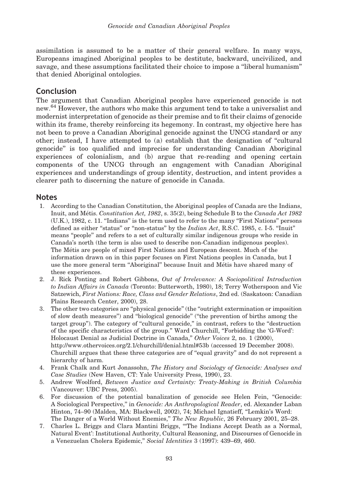<span id="page-13-0"></span>assimilation is assumed to be a matter of their general welfare. In many ways, Europeans imagined Aboriginal peoples to be destitute, backward, uncivilized, and savage, and these assumptions facilitated their choice to impose a ''liberal humanism'' that denied Aboriginal ontologies.

### **Conclusion**

The argument that Canadian Aboriginal peoples have experienced genocide is not new.<sup>[64](#page-17-0)</sup> However, the authors who make this argument tend to take a universalist and modernist interpretation of genocide as their premise and to fit their claims of genocide within its frame, thereby reinforcing its hegemony. In contrast, my objective here has not been to prove a Canadian Aboriginal genocide against the UNCG standard or any other; instead, I have attempted to (a) establish that the designation of ''cultural genocide'' is too qualified and imprecise for understanding Canadian Aboriginal experiences of colonialism, and (b) argue that re-reading and opening certain components of the UNCG through an engagement with Canadian Aboriginal experiences and understandings of group identity, destruction, and intent provides a clearer path to discerning the nature of genocide in Canada.

### Notes

- 1. According to the Canadian Constitution, the Aboriginal peoples of Canada are the Indians, Inuit, and Métis. Constitution Act, 1982, s. 35(2), being Schedule B to the Canada Act 1982 (U.K.), 1982, c. 11. "Indians" is the term used to refer to the many "First Nations" persons defined as either "status" or "non-status" by the Indian Act, R.S.C. 1985, c. I-5. "Inuit" means ''people'' and refers to a set of culturally similar indigenous groups who reside in Canada's north (the term is also used to describe non-Canadian indigenous peoples). The Métis are people of mixed First Nations and European descent. Much of the information drawn on in this paper focuses on First Nations peoples in Canada, but I use the more general term "Aboriginal" because Inuit and Métis have shared many of these experiences.
- 2. J. Rick Ponting and Robert Gibbons, Out of Irrelevance: A Sociopolitical Introduction to Indian Affairs in Canada (Toronto: Butterworth, 1980), 18; Terry Wotherspoon and Vic Satzewich, First Nations: Race, Class and Gender Relations, 2nd ed. (Saskatoon: Canadian Plains Research Center, 2000), 28.
- 3. The other two categories are ''physical genocide'' (the ''outright extermination or imposition of slow death measures'') and ''biological genocide'' (''the prevention of births among the target group''). The category of ''cultural genocide,'' in contrast, refers to the ''destruction of the specific characteristics of the group.'' Ward Churchill, ''Forbidding the 'G-Word': Holocaust Denial as Judicial Doctrine in Canada," Other Voices 2, no. 1 (2000), <http://www.othervoices.org/2.1/churchill/denial.html#53b> (accessed 19 December 2008). Churchill argues that these three categories are of ''equal gravity'' and do not represent a hierarchy of harm.
- 4. Frank Chalk and Kurt Jonassohn, The History and Sociology of Genocide: Analyses and Case Studies (New Haven, CT: Yale University Press, 1990), 23.
- 5. Andrew Woolford, Between Justice and Certainty: Treaty-Making in British Columbia (Vancouver: UBC Press, 2005).
- 6. For discussion of the potential banalization of genocide see Helen Fein, ''Genocide: A Sociological Perspective,'' in Genocide: An Anthropological Reader, ed. Alexander Laban Hinton, 74–90 (Malden, MA: Blackwell, 2002), 74; Michael Ignatieff, ''Lemkin's Word: The Danger of a World Without Enemies,'' The New Republic, 26 February 2001, 25–28.
- 7. Charles L. Briggs and Clara Mantini Briggs, '''The Indians Accept Death as a Normal, Natural Event': Institutional Authority, Cultural Reasoning, and Discourses of Genocide in a Venezuelan Cholera Epidemic,'' Social Identities 3 (1997): 439–69, 460.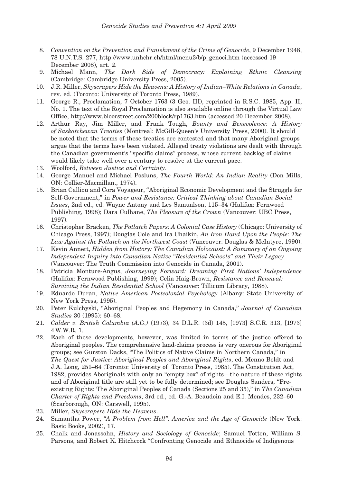- <span id="page-14-0"></span>8. Convention on the Prevention and Punishment of the Crime of Genocide, 9 December 1948, 78 U.N.T.S. 277, [http://www.unhchr.ch/html/menu3/b/p\\_genoci.htm](http://www.unhchr.ch/html/menu3/b/p_genoci.htm) (accessed 19 December 2008), art. 2.
- 9. Michael Mann, The Dark Side of Democracy: Explaining Ethnic Cleansing (Cambridge: Cambridge University Press, 2005).
- 10. J.R. Miller, Skyscrapers Hide the Heavens: A History of Indian–White Relations in Canada, rev. ed. (Toronto: University of Toronto Press, 1989).
- 11. George R., Proclamation, 7 October 1763 (3 Geo. III), reprinted in R.S.C. 1985, App. II, No. 1. The text of the Royal Proclamation is also available online through the Virtual Law Office,<http://www.bloorstreet.com/200block/rp1763.htm> (accessed 20 December 2008).
- 12. Arthur Ray, Jim Miller, and Frank Tough, Bounty and Benevolence: A History of Saskatchewan Treaties (Montreal: McGill-Queen's University Press, 2000). It should be noted that the terms of these treaties are contested and that many Aboriginal groups argue that the terms have been violated. Alleged treaty violations are dealt with through the Canadian government's ''specific claims'' process, whose current backlog of claims would likely take well over a century to resolve at the current pace.
- 13. Woolford, Between Justice and Certainty.
- 14. George Manuel and Michael Posluns, The Fourth World: An Indian Reality (Don Mills, ON: Collier-Macmillan., 1974).
- 15. Brian Calliou and Cora Voyageur, ''Aboriginal Economic Development and the Struggle for Self-Government,'' in Power and Resistance: Critical Thinking about Canadian Social Issues, 2nd ed., ed. Wayne Antony and Les Samualson, 115–34 (Halifax: Fernwood Publishing, 1998); Dara Culhane, *The Pleasure of the Crown* (Vancouver: UBC Press, 1997).
- 16. Christopher Bracken, The Potlatch Papers: A Colonial Case History (Chicago: University of Chicago Press, 1997); Douglas Cole and Ira Chaikin, An Iron Hand Upon the People: The Law Against the Potlatch on the Northwest Coast (Vancouver: Douglas & McIntyre, 1990).
- 17. Kevin Annett, Hidden from History: The Canadian Holocaust: A Summary of an Ongoing Independent Inquiry into Canadian Native ''Residential Schools'' and Their Legacy (Vancouver: The Truth Commission into Genocide in Canada, 2001).
- 18. Patricia Monture-Angus, Journeying Forward: Dreaming First Nations' Independence (Halifax: Fernwood Publishing, 1999); Celia Haig-Brown, Resistance and Renewal: Surviving the Indian Residential School (Vancouver: Tillicum Library, 1988).
- 19. Eduardo Duran, Native American Postcolonial Psychology (Albany: State University of New York Press, 1995).
- 20. Peter Kulchyski, "Aboriginal Peoples and Hegemony in Canada," Journal of Canadian Studies 30 (1995): 60–68.
- 21. Calder v. British Columbia (A.G.) (1973), 34 D.L.R. (3d) 145, [1973] S.C.R. 313, [1973] 4 W.W.R. 1.
- 22. Each of these developments, however, was limited in terms of the justice offered to Aboriginal peoples. The comprehensive land-claims process is very onerous for Aboriginal groups; see Gurston Dacks, ''The Politics of Native Claims in Northern Canada,'' in The Quest for Justice: Aboriginal Peoples and Aboriginal Rights, ed. Menno Boldt and J.A. Long, 251–64 (Toronto: University of Toronto Press, 1985). The Constitution Act, 1982, provides Aboriginals with only an ''empty box'' of rights—the nature of these rights and of Aboriginal title are still yet to be fully determined; see Douglas Sanders, ''Preexisting Rights: The Aboriginal Peoples of Canada (Sections 25 and 35)," in The Canadian Charter of Rights and Freedoms, 3rd ed., ed. G.-A. Beaudoin and E.I. Mendes, 232–60 (Scarborough, ON: Carswell, 1995).
- 23. Miller, Skyscrapers Hide the Heavens.
- 24. Samantha Power, "A Problem from Hell": America and the Age of Genocide (New York: Basic Books, 2002), 17.
- 25. Chalk and Jonassohn, History and Sociology of Genocide; Samuel Totten, William S. Parsons, and Robert K. Hitchcock ''Confronting Genocide and Ethnocide of Indigenous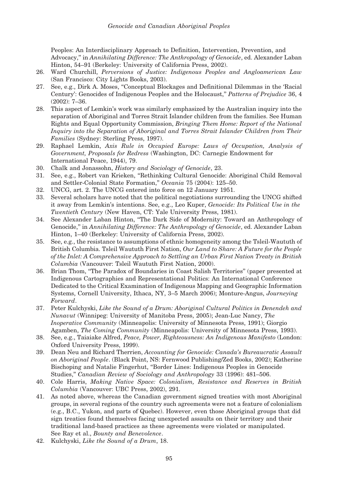<span id="page-15-0"></span>Peoples: An Interdisciplinary Approach to Definition, Intervention, Prevention, and Advocacy,'' in Annihilating Difference: The Anthropology of Genocide, ed. Alexander Laban Hinton, 54–91 (Berkeley: University of California Press, 2002).

- 26. Ward Churchill, Perversions of Justice: Indigenous Peoples and Angloamerican Law (San Francisco: City Lights Books, 2003).
- 27. See, e.g., Dirk A. Moses, ''Conceptual Blockages and Definitional Dilemmas in the 'Racial Century': Genocides of Indigenous Peoples and the Holocaust,'' Patterns of Prejudice 36, 4 (2002): 7–36.
- 28. This aspect of Lemkin's work was similarly emphasized by the Australian inquiry into the separation of Aboriginal and Torres Strait Islander children from the families. See Human Rights and Equal Opportunity Commission, Bringing Them Home: Report of the National Inquiry into the Separation of Aboriginal and Torres Strait Islander Children from Their Families (Sydney: Sterling Press, 1997).
- 29. Raphael Lemkin, Axis Rule in Occupied Europe: Laws of Occupation, Analysis of Government, Proposals for Redress (Washington, DC: Carnegie Endowment for International Peace, 1944), 79.
- 30. Chalk and Jonassohn, History and Sociology of Genocide, 23.
- 31. See, e.g., Robert van Krieken, ''Rethinking Cultural Genocide: Aboriginal Child Removal and Settler-Colonial State Formation,'' Oceania 75 (2004): 125–50.
- 32. UNCG, art. 2. The UNCG entered into force on 12 January 1951.
- 33. Several scholars have noted that the political negotiations surrounding the UNCG shifted it away from Lemkin's intentions. See, e.g., Leo Kuper, Genocide: Its Political Use in the Twentieth Century (New Haven, CT: Yale University Press, 1981).
- 34. See Alexander Laban Hinton, ''The Dark Side of Modernity: Toward an Anthropology of Genocide,'' in Annihilating Difference: The Anthropology of Genocide, ed. Alexander Laban Hinton, 1–40 (Berkeley: University of California Press, 2002).
- 35. See, e.g., the resistance to assumptions of ethnic homogeneity among the Tsleil-Waututh of British Columbia. Tsleil Waututh First Nation, Our Land to Share: A Future for the People of the Inlet: A Comprehensive Approach to Settling an Urban First Nation Treaty in British Columbia (Vancouver: Tsleil Waututh First Nation, 2000).
- 36. Brian Thom, ''The Paradox of Boundaries in Coast Salish Territories'' (paper presented at Indigenous Cartographies and Representational Politics: An International Conference Dedicated to the Critical Examination of Indigenous Mapping and Geographic Information Systems, Cornell University, Ithaca, NY, 3–5 March 2006); Monture-Angus, Journeying Forward.
- 37. Peter Kulchyski, Like the Sound of a Drum: Aboriginal Cultural Politics in Denendeh and Nunavut (Winnipeg: University of Manitoba Press, 2005); Jean-Luc Nancy, The Inoperative Community (Minneapolis: University of Minnesota Press, 1991); Giorgio Agamben, The Coming Community (Minneapolis: University of Minnesota Press, 1993).
- 38. See, e.g., Taiaiake Alfred, Peace, Power, Righteousness: An Indigenous Manifesto (London: Oxford University Press, 1999).
- 39. Dean Neu and Richard Therrien, Accounting for Genocide: Canada's Bureaucratic Assault on Aboriginal People. (Black Point, NS: Fernwood Publishing/Zed Books, 2002); Katherine Bischoping and Natalie Fingerhut, ''Border Lines: Indigenous Peoples in Genocide Studies,'' Canadian Review of Sociology and Anthropology 33 (1996): 481–506.
- 40. Cole Harris, Making Native Space: Colonialism, Resistance and Reserves in British Columbia (Vancouver: UBC Press, 2002), 291.
- 41. As noted above, whereas the Canadian government signed treaties with most Aboriginal groups, in several regions of the country such agreements were not a feature of colonialism (e.g., B.C., Yukon, and parts of Quebec). However, even those Aboriginal groups that did sign treaties found themselves facing unexpected assaults on their territory and their traditional land-based practices as these agreements were violated or manipulated. See Ray et al., Bounty and Benevolence.
- 42. Kulchyski, Like the Sound of a Drum, 18.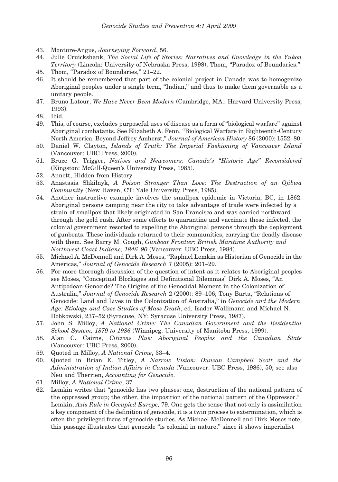- <span id="page-16-0"></span>43. Monture-Angus, Journeying Forward, 56.
- 44. Julie Cruickshank, The Social Life of Stories: Narratives and Knowledge in the Yukon Territory (Lincoln: University of Nebraska Press, 1998); Thom, ''Paradox of Boundaries.''
- 45. Thom, "Paradox of Boundaries," 21–22.
- 46. It should be remembered that part of the colonial project in Canada was to homogenize Aboriginal peoples under a single term, ''Indian,'' and thus to make them governable as a unitary people.
- 47. Bruno Latour, We Have Never Been Modern (Cambridge, MA.: Harvard University Press, 1993).
- 48. Ibid.
- 49. This, of course, excludes purposeful uses of disease as a form of ''biological warfare'' against Aboriginal combatants. See Elizabeth A. Fenn, ''Biological Warfare in Eighteenth-Century North America: Beyond Jeffrey Amherst,'' Journal of American History 86 (2000): 1552–80.
- 50. Daniel W. Clayton, Islands of Truth: The Imperial Fashioning of Vancouver Island (Vancouver: UBC Press, 2000).
- 51. Bruce G. Trigger, Natives and Newcomers: Canada's ''Historic Age'' Reconsidered (Kingston: McGill-Queen's University Press, 1985).
- 52. Annett, Hidden from History.
- 53. Anastasia Shkilnyk, A Poison Stronger Than Love: The Destruction of an Ojibwa Community (New Haven, CT: Yale University Press, 1985).
- 54. Another instructive example involves the smallpox epidemic in Victoria, BC, in 1862. Aboriginal persons camping near the city to take advantage of trade were infected by a strain of smallpox that likely originated in San Francisco and was carried northward through the gold rush. After some efforts to quarantine and vaccinate those infected, the colonial government resorted to expelling the Aboriginal persons through the deployment of gunboats. These individuals returned to their communities, carrying the deadly disease with them. See Barry M. Gough, Gunboat Frontier: British Maritime Authority and Northwest Coast Indians, 1846–90 (Vancouver: UBC Press, 1984).
- 55. Michael A. McDonnell and Dirk A. Moses, ''Raphael Lemkin as Historian of Genocide in the Americas,'' Journal of Genocide Research 7 (2005): 201–29.
- 56. For more thorough discussion of the question of intent as it relates to Aboriginal peoples see Moses, ''Conceptual Blockages and Definitional Dilemmas'' Dirk A. Moses, ''An Antipodean Genocide? The Origins of the Genocidal Moment in the Colonization of Australia," Journal of Genocide Research 2 (2000): 89–106; Tony Barta, "Relations of Genocide: Land and Lives in the Colonization of Australia," in Genocide and the Modern Age: Etiology and Case Studies of Mass Death, ed. Isador Wallimann and Michael N. Dobkowski, 237–52 (Syracuse, NY: Syracuse University Press, 1987).
- 57. John S. Milloy, A National Crime: The Canadian Government and the Residential School System, 1879 to 1986 (Winnipeg: University of Manitoba Press, 1999).
- 58. Alan C. Cairns, Citizens Plus: Aboriginal Peoples and the Canadian State (Vancouver: UBC Press, 2000).
- 59. Quoted in Milloy, A National Crime, 33–4.
- 60. Quoted in Brian E. Titley, A Narrow Vision: Duncan Campbell Scott and the Administration of Indian Affairs in Canada (Vancouver: UBC Press, 1986), 50; see also Neu and Therrien, Accounting for Genocide.
- 61. Milloy, A National Crime, 37.
- 62. Lemkin writes that ''genocide has two phases: one, destruction of the national pattern of the oppressed group; the other, the imposition of the national pattern of the Oppressor.'' Lemkin, Axis Rule in Occupied Europe, 79. One gets the sense that not only is assimilation a key component of the definition of genocide, it is a twin process to extermination, which is often the privileged focus of genocide studies. As Michael McDonnell and Dirk Moses note, this passage illustrates that genocide ''is colonial in nature,'' since it shows imperialist